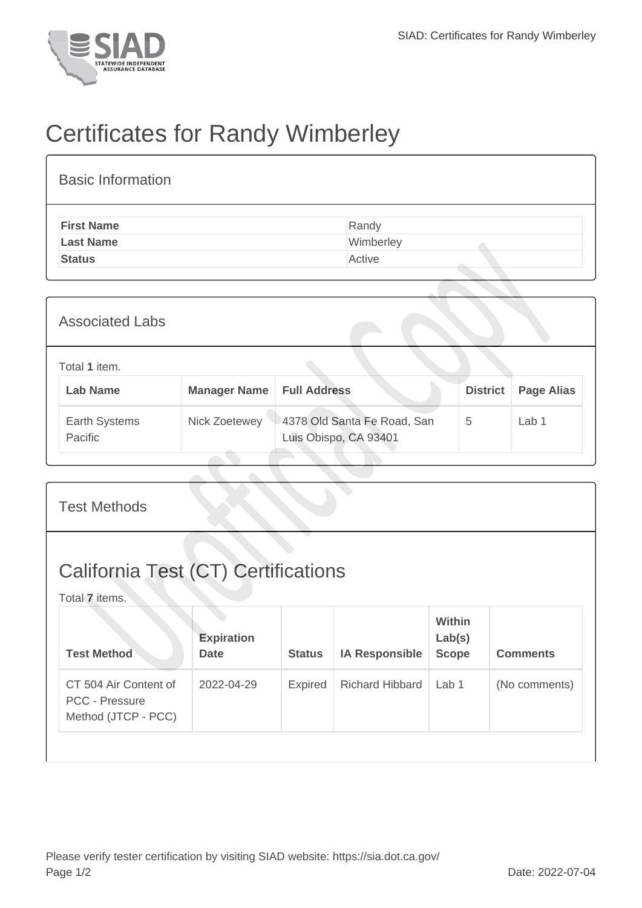

## Certificates for Randy Wimberley

| <b>Basic Information</b> |           |
|--------------------------|-----------|
| <b>First Name</b>        | Randy     |
| <b>Last Name</b>         | Wimberley |
| <b>Status</b>            | Active    |

| <b>Associated Labs</b>           |                     |                                                      |                 |                   |
|----------------------------------|---------------------|------------------------------------------------------|-----------------|-------------------|
| Total 1 item.<br><b>Lab Name</b> | <b>Manager Name</b> | <b>Full Address</b>                                  | <b>District</b> | <b>Page Alias</b> |
| Earth Systems<br>Pacific         | Nick Zoetewey       | 4378 Old Santa Fe Road, San<br>Luis Obispo, CA 93401 | 5               | Lab 1             |

| <b>Test Methods</b>                                                   |                                  |                |                        |                                  |                 |  |
|-----------------------------------------------------------------------|----------------------------------|----------------|------------------------|----------------------------------|-----------------|--|
| <b>California Test (CT) Certifications</b><br>Total 7 items.          |                                  |                |                        |                                  |                 |  |
| <b>Test Method</b>                                                    | <b>Expiration</b><br><b>Date</b> | <b>Status</b>  | <b>IA Responsible</b>  | Within<br>Lab(s)<br><b>Scope</b> | <b>Comments</b> |  |
| CT 504 Air Content of<br><b>PCC - Pressure</b><br>Method (JTCP - PCC) | 2022-04-29                       | <b>Expired</b> | <b>Richard Hibbard</b> | Lab 1                            | (No comments)   |  |
|                                                                       |                                  |                |                        |                                  |                 |  |